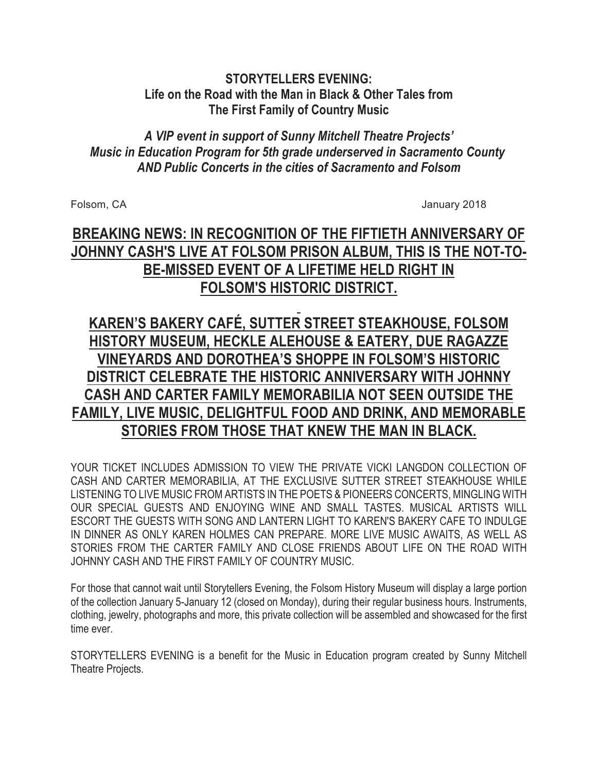# **STORYTELLERS EVENING: Life on the Road with the Man in Black & Other Tales from The First Family of Country Music**

## *A VIP event in support of Sunny Mitchell Theatre Projects' Music in Education Program for 5th grade underserved in Sacramento County AND Public Concerts in the cities of Sacramento and Folsom*

Folsom, CA January 2018

# **BREAKING NEWS: IN RECOGNITION OF THE FIFTIETH ANNIVERSARY OF JOHNNY CASH'S LIVE AT FOLSOM PRISON ALBUM, THIS IS THE NOT-TO-BE-MISSED EVENT OF A LIFETIME HELD RIGHT IN FOLSOM'S HISTORIC DISTRICT.**

# **KAREN'S BAKERY CAFÉ, SUTTER STREET STEAKHOUSE, FOLSOM HISTORY MUSEUM, HECKLE ALEHOUSE & EATERY, DUE RAGAZZE VINEYARDS AND DOROTHEA'S SHOPPE IN FOLSOM'S HISTORIC DISTRICT CELEBRATE THE HISTORIC ANNIVERSARY WITH JOHNNY CASH AND CARTER FAMILY MEMORABILIA NOT SEEN OUTSIDE THE FAMILY, LIVE MUSIC, DELIGHTFUL FOOD AND DRINK, AND MEMORABLE STORIES FROM THOSE THAT KNEW THE MAN IN BLACK.**

YOUR TICKET INCLUDES ADMISSION TO VIEW THE PRIVATE VICKI LANGDON COLLECTION OF CASH AND CARTER MEMORABILIA, AT THE EXCLUSIVE SUTTER STREET STEAKHOUSE WHILE LISTENING TO LIVE MUSIC FROM ARTISTS IN THE POETS & PIONEERS CONCERTS, MINGLING WITH OUR SPECIAL GUESTS AND ENJOYING WINE AND SMALL TASTES. MUSICAL ARTISTS WILL ESCORT THE GUESTS WITH SONG AND LANTERN LIGHT TO KAREN'S BAKERY CAFE TO INDULGE IN DINNER AS ONLY KAREN HOLMES CAN PREPARE. MORE LIVE MUSIC AWAITS, AS WELL AS STORIES FROM THE CARTER FAMILY AND CLOSE FRIENDS ABOUT LIFE ON THE ROAD WITH JOHNNY CASH AND THE FIRST FAMILY OF COUNTRY MUSIC.

For those that cannot wait until Storytellers Evening, the Folsom History Museum will display a large portion of the collection January 5-January 12 (closed on Monday), during their regular business hours. Instruments, clothing, jewelry, photographs and more, this private collection will be assembled and showcased for the first time ever.

STORYTELLERS EVENING is a benefit for the Music in Education program created by Sunny Mitchell Theatre Projects.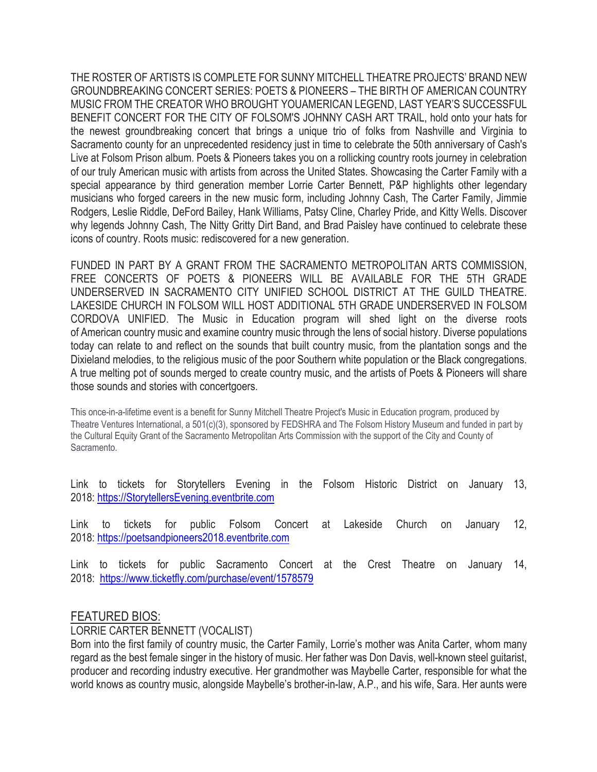THE ROSTER OF ARTISTS IS COMPLETE FOR SUNNY MITCHELL THEATRE PROJECTS' BRAND NEW GROUNDBREAKING CONCERT SERIES: POETS & PIONEERS – THE BIRTH OF AMERICAN COUNTRY MUSIC FROM THE CREATOR WHO BROUGHT YOUAMERICAN LEGEND, LAST YEAR'S SUCCESSFUL BENEFIT CONCERT FOR THE CITY OF FOLSOM'S JOHNNY CASH ART TRAIL, hold onto your hats for the newest groundbreaking concert that brings a unique trio of folks from Nashville and Virginia to Sacramento county for an unprecedented residency just in time to celebrate the 50th anniversary of Cash's Live at Folsom Prison album. Poets & Pioneers takes you on a rollicking country roots journey in celebration of our truly American music with artists from across the United States. Showcasing the Carter Family with a special appearance by third generation member Lorrie Carter Bennett, P&P highlights other legendary musicians who forged careers in the new music form, including Johnny Cash, The Carter Family, Jimmie Rodgers, Leslie Riddle, DeFord Bailey, Hank Williams, Patsy Cline, Charley Pride, and Kitty Wells. Discover why legends Johnny Cash, The Nitty Gritty Dirt Band, and Brad Paisley have continued to celebrate these icons of country. Roots music: rediscovered for a new generation.

FUNDED IN PART BY A GRANT FROM THE SACRAMENTO METROPOLITAN ARTS COMMISSION, FREE CONCERTS OF POETS & PIONEERS WILL BE AVAILABLE FOR THE 5TH GRADE UNDERSERVED IN SACRAMENTO CITY UNIFIED SCHOOL DISTRICT AT THE GUILD THEATRE. LAKESIDE CHURCH IN FOLSOM WILL HOST ADDITIONAL 5TH GRADE UNDERSERVED IN FOLSOM CORDOVA UNIFIED. The Music in Education program will shed light on the diverse roots of American country music and examine country music through the lens of social history. Diverse populations today can relate to and reflect on the sounds that built country music, from the plantation songs and the Dixieland melodies, to the religious music of the poor Southern white population or the Black congregations. A true melting pot of sounds merged to create country music, and the artists of Poets & Pioneers will share those sounds and stories with concertgoers.

This once-in-a-lifetime event is a benefit for Sunny Mitchell Theatre Project's Music in Education program, produced by Theatre Ventures International, a 501(c)(3), sponsored by FEDSHRA and The Folsom History Museum and funded in part by the Cultural Equity Grant of the Sacramento Metropolitan Arts Commission with the support of the City and County of Sacramento.

Link to tickets for Storytellers Evening in the Folsom Historic District on January 13, 2018: https://StorytellersEvening.eventbrite.com

Link to tickets for public Folsom Concert at Lakeside Church on January 12, 2018: https://poetsandpioneers2018.eventbrite.com

Link to tickets for public Sacramento Concert at the Crest Theatre on January 14, 2018: https://www.ticketfly.com/purchase/event/1578579

## FEATURED BIOS:

## LORRIE CARTER BENNETT (VOCALIST)

Born into the first family of country music, the Carter Family, Lorrie's mother was Anita Carter, whom many regard as the best female singer in the history of music. Her father was Don Davis, well-known steel guitarist, producer and recording industry executive. Her grandmother was Maybelle Carter, responsible for what the world knows as country music, alongside Maybelle's brother-in-law, A.P., and his wife, Sara. Her aunts were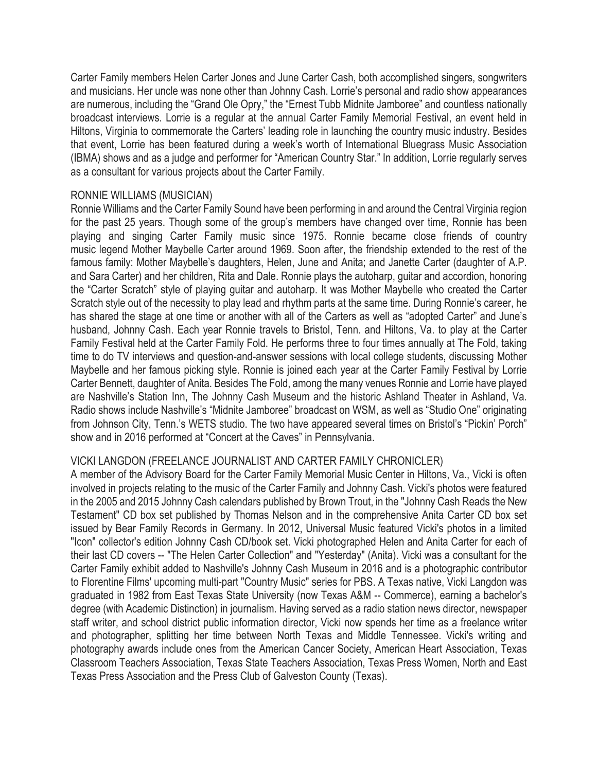Carter Family members Helen Carter Jones and June Carter Cash, both accomplished singers, songwriters and musicians. Her uncle was none other than Johnny Cash. Lorrie's personal and radio show appearances are numerous, including the "Grand Ole Opry," the "Ernest Tubb Midnite Jamboree" and countless nationally broadcast interviews. Lorrie is a regular at the annual Carter Family Memorial Festival, an event held in Hiltons, Virginia to commemorate the Carters' leading role in launching the country music industry. Besides that event, Lorrie has been featured during a week's worth of International Bluegrass Music Association (IBMA) shows and as a judge and performer for "American Country Star." In addition, Lorrie regularly serves as a consultant for various projects about the Carter Family.

## RONNIE WILLIAMS (MUSICIAN)

Ronnie Williams and the Carter Family Sound have been performing in and around the Central Virginia region for the past 25 years. Though some of the group's members have changed over time, Ronnie has been playing and singing Carter Family music since 1975. Ronnie became close friends of country music legend Mother Maybelle Carter around 1969. Soon after, the friendship extended to the rest of the famous family: Mother Maybelle's daughters, Helen, June and Anita; and Janette Carter (daughter of A.P. and Sara Carter) and her children, Rita and Dale. Ronnie plays the autoharp, guitar and accordion, honoring the "Carter Scratch" style of playing guitar and autoharp. It was Mother Maybelle who created the Carter Scratch style out of the necessity to play lead and rhythm parts at the same time. During Ronnie's career, he has shared the stage at one time or another with all of the Carters as well as "adopted Carter" and June's husband, Johnny Cash. Each year Ronnie travels to Bristol, Tenn. and Hiltons, Va. to play at the Carter Family Festival held at the Carter Family Fold. He performs three to four times annually at The Fold, taking time to do TV interviews and question-and-answer sessions with local college students, discussing Mother Maybelle and her famous picking style. Ronnie is joined each year at the Carter Family Festival by Lorrie Carter Bennett, daughter of Anita. Besides The Fold, among the many venues Ronnie and Lorrie have played are Nashville's Station Inn, The Johnny Cash Museum and the historic Ashland Theater in Ashland, Va. Radio shows include Nashville's "Midnite Jamboree" broadcast on WSM, as well as "Studio One" originating from Johnson City, Tenn.'s WETS studio. The two have appeared several times on Bristol's "Pickin' Porch" show and in 2016 performed at "Concert at the Caves" in Pennsylvania.

## VICKI LANGDON (FREELANCE JOURNALIST AND CARTER FAMILY CHRONICLER)

A member of the Advisory Board for the Carter Family Memorial Music Center in Hiltons, Va., Vicki is often involved in projects relating to the music of the Carter Family and Johnny Cash. Vicki's photos were featured in the 2005 and 2015 Johnny Cash calendars published by Brown Trout, in the "Johnny Cash Reads the New Testament" CD box set published by Thomas Nelson and in the comprehensive Anita Carter CD box set issued by Bear Family Records in Germany. In 2012, Universal Music featured Vicki's photos in a limited "Icon" collector's edition Johnny Cash CD/book set. Vicki photographed Helen and Anita Carter for each of their last CD covers -- "The Helen Carter Collection" and "Yesterday" (Anita). Vicki was a consultant for the Carter Family exhibit added to Nashville's Johnny Cash Museum in 2016 and is a photographic contributor to Florentine Films' upcoming multi-part "Country Music" series for PBS. A Texas native, Vicki Langdon was graduated in 1982 from East Texas State University (now Texas A&M -- Commerce), earning a bachelor's degree (with Academic Distinction) in journalism. Having served as a radio station news director, newspaper staff writer, and school district public information director, Vicki now spends her time as a freelance writer and photographer, splitting her time between North Texas and Middle Tennessee. Vicki's writing and photography awards include ones from the American Cancer Society, American Heart Association, Texas Classroom Teachers Association, Texas State Teachers Association, Texas Press Women, North and East Texas Press Association and the Press Club of Galveston County (Texas).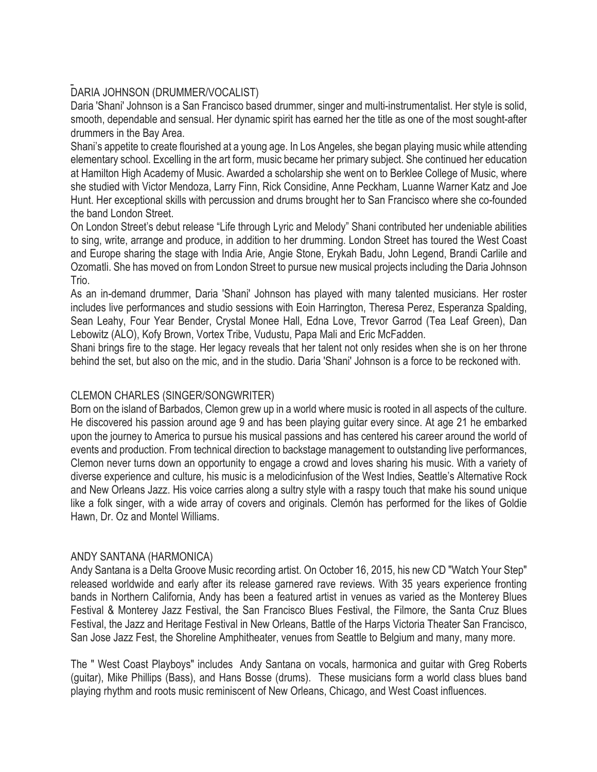## DARIA JOHNSON (DRUMMER/VOCALIST)

Daria 'Shani' Johnson is a San Francisco based drummer, singer and multi-instrumentalist. Her style is solid, smooth, dependable and sensual. Her dynamic spirit has earned her the title as one of the most sought-after drummers in the Bay Area.

Shani's appetite to create flourished at a young age. In Los Angeles, she began playing music while attending elementary school. Excelling in the art form, music became her primary subject. She continued her education at Hamilton High Academy of Music. Awarded a scholarship she went on to Berklee College of Music, where she studied with Victor Mendoza, Larry Finn, Rick Considine, Anne Peckham, Luanne Warner Katz and Joe Hunt. Her exceptional skills with percussion and drums brought her to San Francisco where she co-founded the band London Street.

On London Street's debut release "Life through Lyric and Melody" Shani contributed her undeniable abilities to sing, write, arrange and produce, in addition to her drumming. London Street has toured the West Coast and Europe sharing the stage with India Arie, Angie Stone, Erykah Badu, John Legend, Brandi Carlile and Ozomatli. She has moved on from London Street to pursue new musical projects including the Daria Johnson Trio.

As an in-demand drummer, Daria 'Shani' Johnson has played with many talented musicians. Her roster includes live performances and studio sessions with Eoin Harrington, Theresa Perez, Esperanza Spalding, Sean Leahy, Four Year Bender, Crystal Monee Hall, Edna Love, Trevor Garrod (Tea Leaf Green), Dan Lebowitz (ALO), Kofy Brown, Vortex Tribe, Vudustu, Papa Mali and Eric McFadden.

Shani brings fire to the stage. Her legacy reveals that her talent not only resides when she is on her throne behind the set, but also on the mic, and in the studio. Daria 'Shani' Johnson is a force to be reckoned with.

## CLEMON CHARLES (SINGER/SONGWRITER)

Born on the island of Barbados, Clemon grew up in a world where music is rooted in all aspects of the culture. He discovered his passion around age 9 and has been playing guitar every since. At age 21 he embarked upon the journey to America to pursue his musical passions and has centered his career around the world of events and production. From technical direction to backstage management to outstanding live performances, Clemon never turns down an opportunity to engage a crowd and loves sharing his music. With a variety of diverse experience and culture, his music is a melodicinfusion of the West Indies, Seattle's Alternative Rock and New Orleans Jazz. His voice carries along a sultry style with a raspy touch that make his sound unique like a folk singer, with a wide array of covers and originals. Clemón has performed for the likes of Goldie Hawn, Dr. Oz and Montel Williams.

## ANDY SANTANA (HARMONICA)

Andy Santana is a Delta Groove Music recording artist. On October 16, 2015, his new CD "Watch Your Step" released worldwide and early after its release garnered rave reviews. With 35 years experience fronting bands in Northern California, Andy has been a featured artist in venues as varied as the Monterey Blues Festival & Monterey Jazz Festival, the San Francisco Blues Festival, the Filmore, the Santa Cruz Blues Festival, the Jazz and Heritage Festival in New Orleans, Battle of the Harps Victoria Theater San Francisco, San Jose Jazz Fest, the Shoreline Amphitheater, venues from Seattle to Belgium and many, many more.

The " West Coast Playboys" includes Andy Santana on vocals, harmonica and guitar with Greg Roberts (guitar), Mike Phillips (Bass), and Hans Bosse (drums). These musicians form a world class blues band playing rhythm and roots music reminiscent of New Orleans, Chicago, and West Coast influences.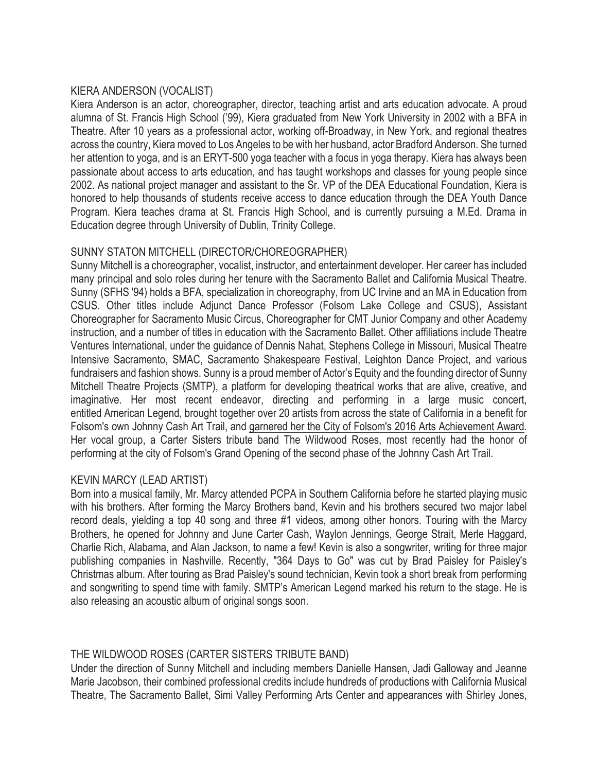## KIERA ANDERSON (VOCALIST)

Kiera Anderson is an actor, choreographer, director, teaching artist and arts education advocate. A proud alumna of St. Francis High School ('99), Kiera graduated from New York University in 2002 with a BFA in Theatre. After 10 years as a professional actor, working off-Broadway, in New York, and regional theatres across the country, Kiera moved to Los Angeles to be with her husband, actor Bradford Anderson. She turned her attention to yoga, and is an ERYT-500 yoga teacher with a focus in yoga therapy. Kiera has always been passionate about access to arts education, and has taught workshops and classes for young people since 2002. As national project manager and assistant to the Sr. VP of the DEA Educational Foundation, Kiera is honored to help thousands of students receive access to dance education through the DEA Youth Dance Program. Kiera teaches drama at St. Francis High School, and is currently pursuing a M.Ed. Drama in Education degree through University of Dublin, Trinity College.

## SUNNY STATON MITCHELL (DIRECTOR/CHOREOGRAPHER)

Sunny Mitchell is a choreographer, vocalist, instructor, and entertainment developer. Her career has included many principal and solo roles during her tenure with the Sacramento Ballet and California Musical Theatre. Sunny (SFHS '94) holds a BFA, specialization in choreography, from UC Irvine and an MA in Education from CSUS. Other titles include Adjunct Dance Professor (Folsom Lake College and CSUS), Assistant Choreographer for Sacramento Music Circus, Choreographer for CMT Junior Company and other Academy instruction, and a number of titles in education with the Sacramento Ballet. Other affiliations include Theatre Ventures International, under the guidance of Dennis Nahat, Stephens College in Missouri, Musical Theatre Intensive Sacramento, SMAC, Sacramento Shakespeare Festival, Leighton Dance Project, and various fundraisers and fashion shows. Sunny is a proud member of Actor's Equity and the founding director of Sunny Mitchell Theatre Projects (SMTP), a platform for developing theatrical works that are alive, creative, and imaginative. Her most recent endeavor, directing and performing in a large music concert, entitled American Legend, brought together over 20 artists from across the state of California in a benefit for Folsom's own Johnny Cash Art Trail, and garnered her the City of Folsom's 2016 Arts Achievement Award. Her vocal group, a Carter Sisters tribute band The Wildwood Roses, most recently had the honor of performing at the city of Folsom's Grand Opening of the second phase of the Johnny Cash Art Trail.

## KEVIN MARCY (LEAD ARTIST)

Born into a musical family, Mr. Marcy attended PCPA in Southern California before he started playing music with his brothers. After forming the Marcy Brothers band, Kevin and his brothers secured two major label record deals, yielding a top 40 song and three #1 videos, among other honors. Touring with the Marcy Brothers, he opened for Johnny and June Carter Cash, Waylon Jennings, George Strait, Merle Haggard, Charlie Rich, Alabama, and Alan Jackson, to name a few! Kevin is also a songwriter, writing for three major publishing companies in Nashville. Recently, "364 Days to Go" was cut by Brad Paisley for Paisley's Christmas album. After touring as Brad Paisley's sound technician, Kevin took a short break from performing and songwriting to spend time with family. SMTP's American Legend marked his return to the stage. He is also releasing an acoustic album of original songs soon.

## THE WILDWOOD ROSES (CARTER SISTERS TRIBUTE BAND)

Under the direction of Sunny Mitchell and including members Danielle Hansen, Jadi Galloway and Jeanne Marie Jacobson, their combined professional credits include hundreds of productions with California Musical Theatre, The Sacramento Ballet, Simi Valley Performing Arts Center and appearances with Shirley Jones,